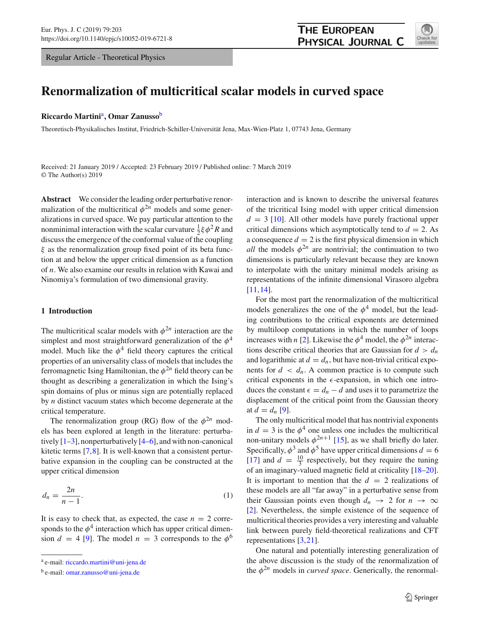Regular Article - Theoretical Physics



# **Renormalization of multicritical scalar models in curved space**

#### **Riccardo Martini**a**, Omar Zanusso**<sup>b</sup>

Theoretisch-Physikalisches Institut, Friedrich-Schiller-Universität Jena, Max-Wien-Platz 1, 07743 Jena, Germany

Received: 21 January 2019 / Accepted: 23 February 2019 / Published online: 7 March 2019 © The Author(s) 2019

**Abstract** We consider the leading order perturbative renormalization of the multicritical  $\phi^{2n}$  models and some generalizations in curved space. We pay particular attention to the nonminimal interaction with the scalar curvature  $\frac{1}{2} \xi \phi^2 R$  and discuss the emergence of the conformal value of the coupling  $\xi$  as the renormalization group fixed point of its beta function at and below the upper critical dimension as a function of *n*. We also examine our results in relation with Kawai and Ninomiya's formulation of two dimensional gravity.

#### <span id="page-0-1"></span>**1 Introduction**

The multicritical scalar models with  $\phi^{2n}$  interaction are the simplest and most straightforward generalization of the  $\phi^4$ model. Much like the  $\phi^4$  field theory captures the critical properties of an universality class of models that includes the ferromagnetic Ising Hamiltonian, the  $\phi^{2n}$  field theory can be thought as describing a generalization in which the Ising's spin domains of plus or minus sign are potentially replaced by *n* distinct vacuum states which become degenerate at the critical temperature.

The renormalization group (RG) flow of the  $\phi^{2n}$  models has been explored at length in the literature: perturbatively  $[1-3]$  $[1-3]$ , nonperturbatively  $[4-6]$  $[4-6]$ , and with non-canonical kitetic terms [\[7](#page-12-4),[8\]](#page-12-5). It is well-known that a consistent perturbative expansion in the coupling can be constructed at the upper critical dimension

<span id="page-0-0"></span>
$$
d_n = \frac{2n}{n-1}.\tag{1}
$$

It is easy to check that, as expected, the case  $n = 2$  corresponds to the  $\phi^4$  interaction which has upper critical dimension  $d = 4$  [\[9](#page-12-6)]. The model  $n = 3$  corresponds to the  $\phi^6$  interaction and is known to describe the universal features of the tricritical Ising model with upper critical dimension  $d = 3$  [\[10](#page-12-7)]. All other models have purely fractional upper critical dimensions which asymptotically tend to  $d = 2$ . As a consequence  $d = 2$  is the first physical dimension in which *all* the models  $\phi^{2n}$  are nontrivial; the continuation to two dimensions is particularly relevant because they are known to interpolate with the unitary minimal models arising as representations of the infinite dimensional Virasoro algebra [\[11](#page-12-8),[14\]](#page-12-9).

For the most part the renormalization of the multicritical models generalizes the one of the  $\phi^4$  model, but the leading contributions to the critical exponents are determined by multiloop computations in which the number of loops increases with *n* [\[2](#page-12-10)]. Likewise the  $\phi^4$  model, the  $\phi^{2n}$  interactions describe critical theories that are Gaussian for  $d > d_n$ and logarithmic at  $d = d_n$ , but have non-trivial critical exponents for  $d < d_n$ . A common practice is to compute such critical exponents in the  $\epsilon$ -expansion, in which one introduces the constant  $\epsilon = d_n - d$  and uses it to parametrize the displacement of the critical point from the Gaussian theory at  $d = d_n$  [\[9](#page-12-6)].

The only multicritical model that has nontrivial exponents in  $d = 3$  is the  $\phi^4$  one unless one includes the multicritical non-unitary models  $\phi^{2n+1}$  [\[15](#page-12-11)], as we shall briefly do later. Specifically,  $\phi^3$  and  $\phi^5$  have upper critical dimensions  $d = 6$ [\[17](#page-12-12)] and  $d = \frac{10}{3}$  respectively, but they require the tuning of an imaginary-valued magnetic field at criticality [\[18](#page-12-13)[–20](#page-12-14)]. It is important to mention that the  $d = 2$  realizations of these models are all "far away" in a perturbative sense from their Gaussian points even though  $d_n \to 2$  for  $n \to \infty$ [\[2](#page-12-10)]. Nevertheless, the simple existence of the sequence of multicritical theories provides a very interesting and valuable link between purely field-theoretical realizations and CFT representations [\[3](#page-12-1),[21](#page-12-15)].

One natural and potentially interesting generalization of the above discussion is the study of the renormalization of the  $\phi^{2n}$  models in *curved space*. Generically, the renormal-

<sup>a</sup> e-mail: [riccardo.martini@uni-jena.de](mailto:riccardo.martini@uni-jena.de)

<sup>b</sup> e-mail: [omar.zanusso@uni-jena.de](mailto:omar.zanusso@uni-jena.de)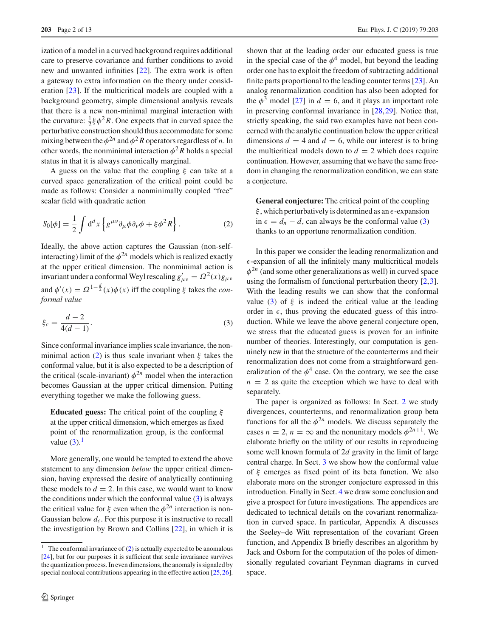ization of a model in a curved background requires additional care to preserve covariance and further conditions to avoid new and unwanted infinities [\[22\]](#page-12-16). The extra work is often a gateway to extra information on the theory under consideration [\[23](#page-12-17)]. If the multicritical models are coupled with a background geometry, simple dimensional analysis reveals that there is a new non-minimal marginal interaction with the curvature:  $\frac{1}{2} \xi \phi^2 R$ . One expects that in curved space the perturbative construction should thus accommodate for some mixing between the  $\phi^{2n}$  and  $\phi^2 R$  operators regardless of *n*. In other words, the nonminimal interaction  $\phi^2 R$  holds a special status in that it is always canonically marginal.

A guess on the value that the coupling  $\xi$  can take at a curved space generalization of the critical point could be made as follows: Consider a nonminimally coupled "free" scalar field with quadratic action

<span id="page-1-0"></span>
$$
S_0[\phi] = \frac{1}{2} \int d^d x \left\{ g^{\mu\nu} \partial_\mu \phi \partial_\nu \phi + \xi \phi^2 R \right\}.
$$
 (2)

Ideally, the above action captures the Gaussian (non-selfinteracting) limit of the  $\phi^{2n}$  models which is realized exactly at the upper critical dimension. The nonminimal action is invariant under a conformal Weyl rescaling  $g'_{\mu\nu} = \Omega^2(x)g_{\mu\nu}$ and  $\phi'(x) = \Omega^{1-\frac{d}{2}}(x)\phi(x)$  iff the coupling  $\xi$  takes the *conformal value*

<span id="page-1-1"></span>
$$
\xi_c = \frac{d-2}{4(d-1)}.\tag{3}
$$

Since conformal invariance implies scale invariance, the non-minimal action [\(2\)](#page-1-0) is thus scale invariant when  $\xi$  takes the conformal value, but it is also expected to be a description of the critical (scale-invariant)  $\phi^{2n}$  model when the interaction becomes Gaussian at the upper critical dimension. Putting everything together we make the following guess.

**Educated guess:** The critical point of the coupling  $\xi$ at the upper critical dimension, which emerges as fixed point of the renormalization group, is the conformal value  $(3)$ .<sup>[1](#page-1-2)</sup>

More generally, one would be tempted to extend the above statement to any dimension *below* the upper critical dimension, having expressed the desire of analytically continuing these models to  $d = 2$ . In this case, we would want to know the conditions under which the conformal value  $(3)$  is always the critical value for  $\xi$  even when the  $\phi^{2n}$  interaction is non-Gaussian below  $d_c$ . For this purpose it is instructive to recall the investigation by Brown and Collins [\[22](#page-12-16)], in which it is

shown that at the leading order our educated guess is true in the special case of the  $\phi^4$  model, but beyond the leading order one has to exploit the freedom of subtracting additional finite parts proportional to the leading counter terms [\[23](#page-12-17)]. An analog renormalization condition has also been adopted for the  $\phi^3$  model [\[27](#page-12-21)] in  $d = 6$ , and it plays an important role in preserving conformal invariance in [\[28](#page-12-22)[,29](#page-12-23)]. Notice that, strictly speaking, the said two examples have not been concerned with the analytic continuation below the upper critical dimensions  $d = 4$  and  $d = 6$ , while our interest is to bring the multicritical models down to  $d = 2$  which does require continuation. However, assuming that we have the same freedom in changing the renormalization condition, we can state a conjecture.

**General conjecture:** The critical point of the coupling  $\xi$ , which perturbatively is determined as an  $\epsilon$ -expansion in  $\epsilon = d_n - d$ , can always be the conformal value [\(3\)](#page-1-1) thanks to an opportune renormalization condition.

In this paper we consider the leading renormalization and  $\epsilon$ -expansion of all the infinitely many multicritical models  $\phi^{2n}$  (and some other generalizations as well) in curved space using the formalism of functional perturbation theory [\[2](#page-12-10)[,3](#page-12-1)]. With the leading results we can show that the conformal value [\(3\)](#page-1-1) of  $\xi$  is indeed the critical value at the leading order in  $\epsilon$ , thus proving the educated guess of this introduction. While we leave the above general conjecture open, we stress that the educated guess is proven for an infinite number of theories. Interestingly, our computation is genuinely new in that the structure of the counterterms and their renormalization does not come from a straightforward generalization of the  $\phi^4$  case. On the contrary, we see the case  $n = 2$  as quite the exception which we have to deal with separately.

The paper is organized as follows: In Sect. [2](#page-2-0) we study divergences, counterterms, and renormalization group beta functions for all the  $\phi^{2n}$  models. We discuss separately the cases  $n = 2$ ,  $n = \infty$  and the nonunitary models  $\phi^{2n+1}$ . We elaborate briefly on the utility of our results in reproducing some well known formula of 2*d* gravity in the limit of large central charge. In Sect. [3](#page-7-0) we show how the conformal value of  $\xi$  emerges as fixed point of its beta function. We also elaborate more on the stronger conjecture expressed in this introduction. Finally in Sect. [4](#page-8-0) we draw some conclusion and give a prospect for future investigations. The appendices are dedicated to technical details on the covariant renormalization in curved space. In particular, Appendix A discusses the Seeley–de Witt representation of the covariant Green function, and Appendix B briefly describes an algorithm by Jack and Osborn for the computation of the poles of dimensionally regulated covariant Feynman diagrams in curved space.

<span id="page-1-2"></span> $\overline{1}$  The conformal invariance of [\(2\)](#page-1-0) is actually expected to be anomalous [\[24](#page-12-18)], but for our purposes it is sufficient that scale invariance survives the quantization process. In even dimensions, the anomaly is signaled by special nonlocal contributions appearing in the effective action [\[25](#page-12-19)[,26](#page-12-20)].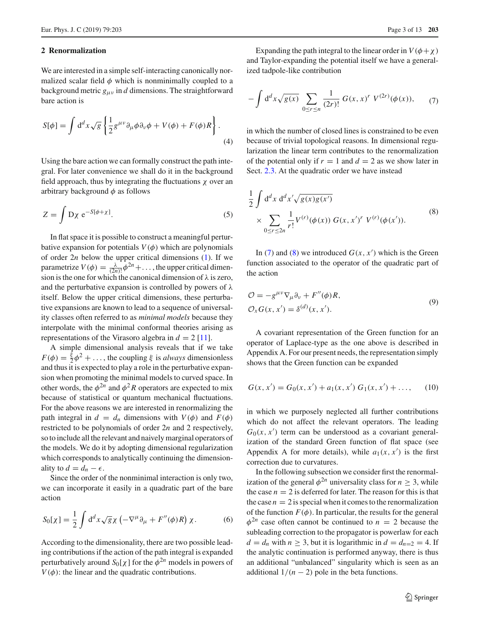#### <span id="page-2-0"></span>**2 Renormalization**

We are interested in a simple self-interacting canonically normalized scalar field  $\phi$  which is nonminimally coupled to a background metric  $g_{\mu\nu}$  in *d* dimensions. The straightforward bare action is

<span id="page-2-3"></span>
$$
S[\phi] = \int d^d x \sqrt{g} \left\{ \frac{1}{2} g^{\mu \nu} \partial_{\mu} \phi \partial_{\nu} \phi + V(\phi) + F(\phi) R \right\}.
$$
\n(4)

Using the bare action we can formally construct the path integral. For later convenience we shall do it in the background field approach, thus by integrating the fluctuations  $\chi$  over an arbitrary background  $\phi$  as follows

$$
Z = \int D\chi \ e^{-S[\phi + \chi]}.
$$
 (5)

In flat space it is possible to construct a meaningful perturbative expansion for potentials  $V(\phi)$  which are polynomials of order 2*n* below the upper critical dimensions [\(1\)](#page-0-0). If we parametrize  $V(\phi) = \frac{\lambda}{(2n)!} \phi^{2n} + \dots$ , the upper critical dimension is the one for which the canonical dimension of  $\lambda$  is zero, and the perturbative expansion is controlled by powers of  $\lambda$ itself. Below the upper critical dimensions, these perturbative expansions are known to lead to a sequence of universality classes often referred to as *minimal models* because they interpolate with the minimal conformal theories arising as representations of the Virasoro algebra in  $d = 2$  [\[11\]](#page-12-8).

A simple dimensional analysis reveals that if we take  $F(\phi) = \frac{\xi}{2}\phi^2 + \dots$ , the coupling  $\xi$  is *always* dimensionless and thus it is expected to play a role in the perturbative expansion when promoting the minimal models to curved space. In other words, the  $\phi^{2n}$  and  $\phi^2 R$  operators are expected to mix because of statistical or quantum mechanical fluctuations. For the above reasons we are interested in renormalizing the path integral in  $d = d_n$  dimensions with  $V(\phi)$  and  $F(\phi)$ restricted to be polynomials of order 2*n* and 2 respectively, so to include all the relevant and naively marginal operators of the models. We do it by adopting dimensional regularization which corresponds to analytically continuing the dimensionality to  $d = d_n - \epsilon$ .

Since the order of the nonminimal interaction is only two, we can incorporate it easily in a quadratic part of the bare action

$$
S_0[\chi] = \frac{1}{2} \int d^d x \sqrt{g} \chi \left( -\nabla^\mu \partial_\mu + F''(\phi) R \right) \chi. \tag{6}
$$

According to the dimensionality, there are two possible leading contributions if the action of the path integral is expanded perturbatively around  $S_0[\chi]$  for the  $\phi^{2n}$  models in powers of  $V(\phi)$ : the linear and the quadratic contributions.

Expanding the path integral to the linear order in  $V(\phi + \chi)$ and Taylor-expanding the potential itself we have a generalized tadpole-like contribution

<span id="page-2-1"></span>
$$
-\int d^{d}x \sqrt{g(x)} \sum_{0 \le r \le n} \frac{1}{(2r)!} G(x,x)^{r} V^{(2r)}(\phi(x)), \qquad (7)
$$

in which the number of closed lines is constrained to be even because of trivial topological reasons. In dimensional regularization the linear term contributes to the renormalization of the potential only if  $r = 1$  and  $d = 2$  as we show later in Sect. [2.3.](#page-5-0) At the quadratic order we have instead

<span id="page-2-2"></span>
$$
\frac{1}{2} \int d^d x \, d^d x' \sqrt{g(x)g(x')}
$$
\n
$$
\times \sum_{0 \le r \le 2n} \frac{1}{r!} V^{(r)}(\phi(x)) \, G(x, x')^r \, V^{(r)}(\phi(x')).
$$
\n(8)

In [\(7\)](#page-2-1) and [\(8\)](#page-2-2) we introduced  $G(x, x')$  which is the Green function associated to the operator of the quadratic part of the action

$$
\mathcal{O} = -g^{\mu\nu}\nabla_{\mu}\partial_{\nu} + F''(\phi)R,
$$
  
\n
$$
\mathcal{O}_X G(x, x') = \delta^{(d)}(x, x').
$$
\n(9)

A covariant representation of the Green function for an operator of Laplace-type as the one above is described in Appendix A. For our present needs, the representation simply shows that the Green function can be expanded

$$
G(x, x') = G_0(x, x') + a_1(x, x') G_1(x, x') + \dots,
$$
 (10)

in which we purposely neglected all further contributions which do not affect the relevant operators. The leading  $G_0(x, x')$  term can be understood as a covariant generalization of the standard Green function of flat space (see Appendix A for more details), while  $a_1(x, x')$  is the first correction due to curvatures.

In the following subsection we consider first the renormalization of the general  $\phi^{2n}$  universality class for  $n \geq 3$ , while the case  $n = 2$  is deferred for later. The reason for this is that the case  $n = 2$  is special when it comes to the renormalization of the function  $F(\phi)$ . In particular, the results for the general  $\phi^{2n}$  case often cannot be continued to  $n = 2$  because the subleading correction to the propagator is powerlaw for each  $d = d_n$  with  $n \ge 3$ , but it is logarithmic in  $d = d_{n=2} = 4$ . If the analytic continuation is performed anyway, there is thus an additional "unbalanced" singularity which is seen as an additional  $1/(n-2)$  pole in the beta functions.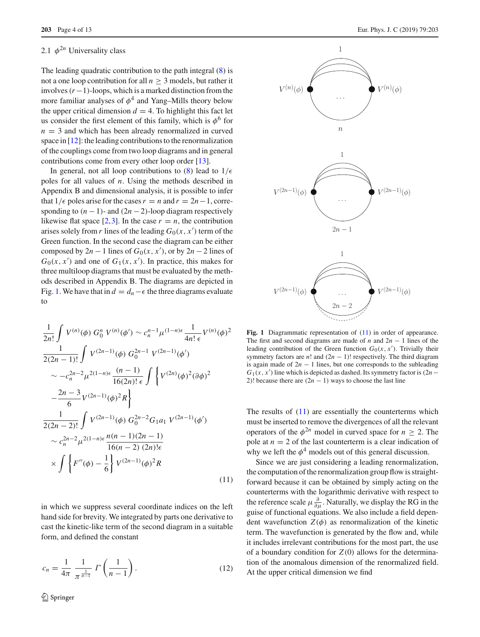# <span id="page-3-2"></span>2.1  $\phi^{2n}$  Universality class

The leading quadratic contribution to the path integral [\(8\)](#page-2-2) is not a one loop contribution for all  $n > 3$  models, but rather it involves(*r*−1)-loops, which is a marked distinction from the more familiar analyses of  $\phi^4$  and Yang–Mills theory below the upper critical dimension  $d = 4$ . To highlight this fact let us consider the first element of this family, which is  $\phi^6$  for  $n = 3$  and which has been already renormalized in curved space in [\[12](#page-12-24)]: the leading contributions to the renormalization of the couplings come from two loop diagrams and in general contributions come from every other loop order [\[13](#page-12-25)].

In general, not all loop contributions to [\(8\)](#page-2-2) lead to  $1/\epsilon$ poles for all values of *n*. Using the methods described in Appendix B and dimensional analysis, it is possible to infer that  $1/\epsilon$  poles arise for the cases  $r = n$  and  $r = 2n - 1$ , corresponding to  $(n - 1)$ - and  $(2n - 2)$ -loop diagram respectively likewise flat space  $[2,3]$  $[2,3]$  $[2,3]$ . In the case  $r = n$ , the contribution arises solely from *r* lines of the leading  $G_0(x, x')$  term of the Green function. In the second case the diagram can be either composed by  $2n - 1$  lines of  $G_0(x, x')$ , or by  $2n - 2$  lines of  $G_0(x, x')$  and one of  $G_1(x, x')$ . In practice, this makes for three multiloop diagrams that must be evaluated by the methods described in Appendix B. The diagrams are depicted in Fig. [1.](#page-3-0) We have that in  $d = d_n - \epsilon$  the three diagrams evaluate to

<span id="page-3-1"></span>
$$
\frac{1}{2n!} \int V^{(n)}(\phi) G_0^n V^{(n)}(\phi') \sim c_n^{n-1} \mu^{(1-n)\epsilon} \frac{1}{4n! \epsilon} V^{(n)}(\phi)^2
$$
  
\n
$$
\frac{1}{2(2n-1)!} \int V^{(2n-1)}(\phi) G_0^{2n-1} V^{(2n-1)}(\phi')
$$
  
\n
$$
\sim -c_n^{2n-2} \mu^{2(1-n)\epsilon} \frac{(n-1)}{16(2n)! \epsilon} \int \left\{ V^{(2n)}(\phi)^2 (\partial \phi)^2 \right\}
$$
  
\n
$$
-\frac{2n-3}{6} V^{(2n-1)}(\phi)^2 R \right\}
$$
  
\n
$$
\frac{1}{2(2n-2)!} \int V^{(2n-1)}(\phi) G_0^{2n-2} G_1 a_1 V^{(2n-1)}(\phi')
$$
  
\n
$$
\sim c_n^{2n-2} \mu^{2(1-n)\epsilon} \frac{n(n-1)(2n-1)}{16(n-2) (2n)!\epsilon}
$$
  
\n
$$
\times \int \left\{ F''(\phi) - \frac{1}{6} \right\} V^{(2n-1)}(\phi)^2 R
$$
  
\n(11)

in which we suppress several coordinate indices on the left hand side for brevity. We integrated by parts one derivative to cast the kinetic-like term of the second diagram in a suitable form, and defined the constant

$$
c_n = \frac{1}{4\pi} \frac{1}{\pi^{\frac{1}{n-1}}} \Gamma\left(\frac{1}{n-1}\right). \tag{12}
$$



<span id="page-3-0"></span>Fig. 1 Diagrammatic representation of  $(11)$  in order of appearance. The first and second diagrams are made of *n* and 2*n* − 1 lines of the leading contribution of the Green function  $G_0(x, x')$ . Trivially their symmetry factors are  $n!$  and  $(2n - 1)!$  respectively. The third diagram is again made of  $2n - 1$  lines, but one corresponds to the subleading  $G_1(x, x')$  line which is depicted as dashed. Its symmetry factor is (2*n*− 2)! because there are  $(2n - 1)$  ways to choose the last line

The results of  $(11)$  are essentially the counterterms which must be inserted to remove the divergences of all the relevant operators of the  $\phi^{2n}$  model in curved space for  $n > 2$ . The pole at  $n = 2$  of the last counterterm is a clear indication of why we left the  $\phi^4$  models out of this general discussion.

Since we are just considering a leading renormalization, the computation of the renormalization group flow is straightforward because it can be obtained by simply acting on the counterterms with the logarithmic derivative with respect to the reference scale  $\mu \frac{\partial}{\partial \mu}$ . Naturally, we display the RG in the guise of functional equations. We also include a field dependent wavefunction  $Z(\phi)$  as renormalization of the kinetic term. The wavefunction is generated by the flow and, while it includes irrelevant contributions for the most part, the use of a boundary condition for  $Z(0)$  allows for the determination of the anomalous dimension of the renormalized field. At the upper critical dimension we find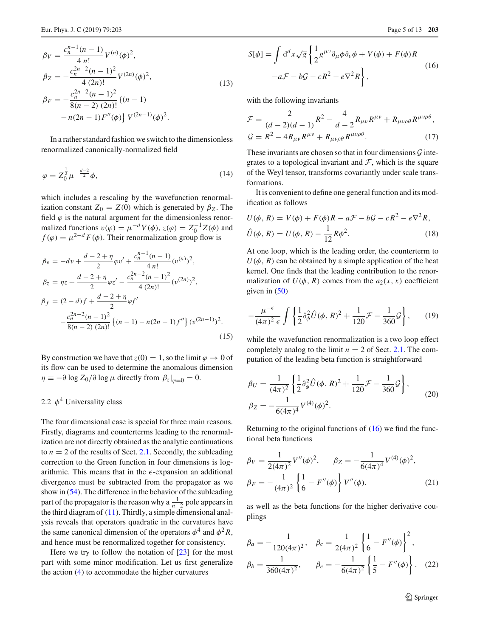$$
\beta_V = \frac{c_n^{n-1}(n-1)}{4 n!} V^{(n)}(\phi)^2,
$$
  
\n
$$
\beta_Z = -\frac{c_n^{2n-2}(n-1)^2}{4 (2n)!} V^{(2n)}(\phi)^2,
$$
  
\n
$$
\beta_F = -\frac{c_n^{2n-2}(n-1)^2}{8(n-2) (2n)!} \{(n-1) -n(2n-1)F''(\phi)\} V^{(2n-1)}(\phi)^2.
$$
\n(13)

In a rather standard fashion we switch to the dimensionless renormalized canonically-normalized field

$$
\varphi = Z_0^{\frac{1}{2}} \mu^{-\frac{d-2}{2}} \phi, \tag{14}
$$

which includes a rescaling by the wavefunction renormalization constant  $Z_0 = Z(0)$  which is generated by  $\beta_Z$ . The field  $\varphi$  is the natural argument for the dimensionless renormalized functions  $v(\varphi) = \mu^{-d} V(\phi)$ ,  $z(\varphi) = Z_0^{-1} Z(\phi)$  and  $f(\varphi) = \mu^{2-d} F(\varphi)$ . Their renormalization group flow is

<span id="page-4-1"></span>
$$
\beta_v = -dv + \frac{d-2+\eta}{2}\varphi v' + \frac{c_n^{n-1}(n-1)}{4 n!}(v^{(n)})^2,
$$
  
\n
$$
\beta_z = \eta z + \frac{d-2+\eta}{2}\varphi z' - \frac{c_n^{2n-2}(n-1)^2}{4 (2n)!}(v^{(2n)})^2,
$$
  
\n
$$
\beta_f = (2-d)f + \frac{d-2+\eta}{2}\varphi f'
$$
  
\n
$$
-\frac{c_n^{2n-2}(n-1)^2}{8(n-2) (2n)!} \{(n-1) - n(2n-1)f''\} (v^{(2n-1)})^2.
$$
  
\n(15)

By construction we have that  $z(0) = 1$ , so the limit  $\varphi \to 0$  of its flow can be used to determine the anomalous dimension  $\eta \equiv -\partial \log Z_0 / \partial \log \mu$  directly from  $\beta_z|_{\omega=0} = 0$ .

## <span id="page-4-2"></span>2.2  $\phi^4$  Universality class

The four dimensional case is special for three main reasons. Firstly, diagrams and counterterms leading to the renormalization are not directly obtained as the analytic continuations to  $n = 2$  of the results of Sect. [2.1.](#page-3-2) Secondly, the subleading correction to the Green function in four dimensions is logarithmic. This means that in the  $\epsilon$ -expansion an additional divergence must be subtracted from the propagator as we show in [\(54\)](#page-10-0). The difference in the behavior of the subleading part of the propagator is the reason why a  $\frac{1}{n-2}$  pole appears in the third diagram of [\(11\)](#page-3-1). Thirdly, a simple dimensional analysis reveals that operators quadratic in the curvatures have the same canonical dimension of the operators  $\phi^4$  and  $\phi^2 R$ , and hence must be renormalized together for consistency.

Here we try to follow the notation of  $[23]$  $[23]$  for the most part with some minor modification. Let us first generalize the action  $(4)$  to accommodate the higher curvatures

$$
S[\phi] = \int d^d x \sqrt{g} \left\{ \frac{1}{2} g^{\mu\nu} \partial_\mu \phi \partial_\nu \phi + V(\phi) + F(\phi) R - a \mathcal{F} - b \mathcal{G} - c R^2 - e \nabla^2 R \right\},
$$
\n(16)

with the following invariants

$$
\mathcal{F} = \frac{2}{(d-2)(d-1)} R^2 - \frac{4}{d-2} R_{\mu\nu} R^{\mu\nu} + R_{\mu\nu\rho\theta} R^{\mu\nu\rho\theta},
$$
  

$$
\mathcal{G} = R^2 - 4 R_{\mu\nu} R^{\mu\nu} + R_{\mu\nu\rho\theta} R^{\mu\nu\rho\theta}.
$$
 (17)

These invariants are chosen so that in four dimensions *G* integrates to a topological invariant and  $F$ , which is the square of the Weyl tensor, transforms covariantly under scale transformations.

It is convenient to define one general function and its modification as follows

$$
U(\phi, R) = V(\phi) + F(\phi)R - aF - bG - cR^2 - e\nabla^2 R,
$$
  

$$
\hat{U}(\phi, R) = U(\phi, R) - \frac{1}{12}R\phi^2.
$$
 (18)

At one loop, which is the leading order, the counterterm to  $U(\phi, R)$  can be obtained by a simple application of the heat kernel. One finds that the leading contribution to the renormalization of  $U(\phi, R)$  comes from the  $a_2(x, x)$  coefficient given in [\(50\)](#page-10-1)

$$
-\frac{\mu^{-\epsilon}}{(4\pi)^2 \epsilon} \int \left\{ \frac{1}{2} \partial_{\phi}^2 \hat{U}(\phi, R)^2 + \frac{1}{120} \mathcal{F} - \frac{1}{360} \mathcal{G} \right\}, \qquad (19)
$$

while the wavefunction renormalization is a two loop effect completely analog to the limit  $n = 2$  of Sect. [2.1.](#page-3-2) The computation of the leading beta function is straightforward

$$
\beta_U = \frac{1}{(4\pi)^2} \left\{ \frac{1}{2} \partial_{\phi}^2 \hat{U}(\phi, R)^2 + \frac{1}{120} \mathcal{F} - \frac{1}{360} \mathcal{G} \right\},
$$
  
\n
$$
\beta_Z = -\frac{1}{6(4\pi)^4} V^{(4)}(\phi)^2.
$$
 (20)

Returning to the original functions of  $(16)$  we find the functional beta functions

$$
\beta_V = \frac{1}{2(4\pi)^2} V''(\phi)^2, \qquad \beta_Z = -\frac{1}{6(4\pi)^4} V^{(4)}(\phi)^2,
$$
  

$$
\beta_F = -\frac{1}{(4\pi)^2} \left\{ \frac{1}{6} - F''(\phi) \right\} V''(\phi).
$$
 (21)

as well as the beta functions for the higher derivative couplings

<span id="page-4-0"></span>
$$
\beta_a = -\frac{1}{120(4\pi)^2}, \quad \beta_c = \frac{1}{2(4\pi)^2} \left\{ \frac{1}{6} - F''(\phi) \right\}^2,
$$
  

$$
\beta_b = \frac{1}{360(4\pi)^2}, \qquad \beta_e = -\frac{1}{6(4\pi)^2} \left\{ \frac{1}{5} - F''(\phi) \right\}.
$$
 (22)

<span id="page-4-3"></span><sup>2</sup> Springer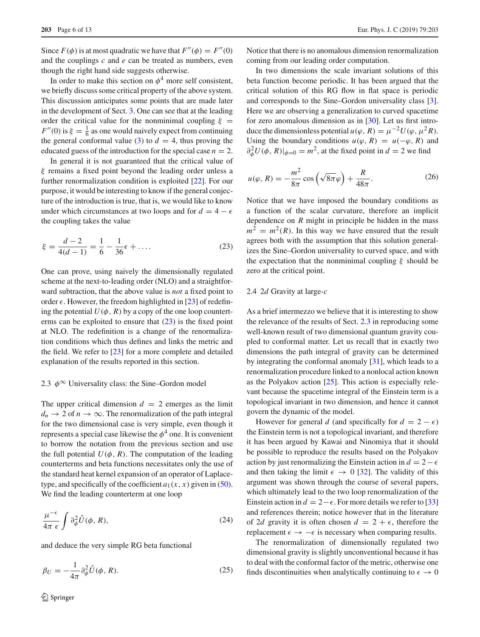Since  $F(\phi)$  is at most quadratic we have that  $F''(\phi) = F''(0)$ and the couplings *c* and *e* can be treated as numbers, even though the right hand side suggests otherwise.

In order to make this section on  $\phi^4$  more self consistent, we briefly discuss some critical property of the above system. This discussion anticipates some points that are made later in the development of Sect. [3.](#page-7-0) One can see that at the leading order the critical value for the nonminimal coupling  $\xi =$  $F''(0)$  is  $\xi = \frac{1}{6}$  as one would naively expect from continuing the general conformal value [\(3\)](#page-1-1) to  $d = 4$ , thus proving the educated guess of the introduction for the special case  $n = 2$ .

In general it is not guaranteed that the critical value of ξ remains a fixed point beyond the leading order unless a further renormalization condition is exploited [\[22](#page-12-16)]. For our purpose, it would be interesting to know if the general conjecture of the introduction is true, that is, we would like to know under which circumstances at two loops and for  $d = 4 - \epsilon$ the coupling takes the value

<span id="page-5-1"></span>
$$
\xi = \frac{d-2}{4(d-1)} = \frac{1}{6} - \frac{1}{36}\epsilon + \dots
$$
 (23)

One can prove, using naively the dimensionally regulated scheme at the next-to-leading order (NLO) and a straightforward subtraction, that the above value is *not* a fixed point to order  $\epsilon$ . However, the freedom highlighted in [\[23\]](#page-12-17) of redefining the potential  $U(\phi, R)$  by a copy of the one loop counterterms can be exploited to ensure that  $(23)$  is the fixed point at NLO. The redefinition is a change of the renormalization conditions which thus defines and links the metric and the field. We refer to  $[23]$  $[23]$  for a more complete and detailed explanation of the results reported in this section.

#### <span id="page-5-0"></span>2.3  $\phi^{\infty}$  Universality class: the Sine–Gordon model

The upper critical dimension  $d = 2$  emerges as the limit  $d_n \to 2$  of  $n \to \infty$ . The renormalization of the path integral for the two dimensional case is very simple, even though it represents a special case likewise the  $\phi^4$  one. It is convenient to borrow the notation from the previous section and use the full potential  $U(\phi, R)$ . The computation of the leading counterterms and beta functions necessitates only the use of the standard heat kernel expansion of an operator of Laplacetype, and specifically of the coefficient  $a_1(x, x)$  given in [\(50\)](#page-10-1). We find the leading counterterm at one loop

$$
\frac{\mu^{-\epsilon}}{4\pi \epsilon} \int \partial_{\phi}^2 \hat{U}(\phi, R), \tag{24}
$$

and deduce the very simple RG beta functional

$$
\beta_U = -\frac{1}{4\pi} \partial_{\phi}^2 \hat{U}(\phi, R). \tag{25}
$$

Notice that there is no anomalous dimension renormalization coming from our leading order computation.

In two dimensions the scale invariant solutions of this beta function become periodic. It has been argued that the critical solution of this RG flow in flat space is periodic and corresponds to the Sine–Gordon universality class [\[3](#page-12-1)]. Here we are observing a generalization to curved spacetime for zero anomalous dimension as in [\[30\]](#page-12-26). Let us first introduce the dimensionless potential  $u(\varphi, R) = \mu^{-2} U(\varphi, \mu^2 R)$ . Using the boundary conditions  $u(\varphi, R) = u(-\varphi, R)$  and  $\partial_{\phi}^{2} U(\phi, R)|_{\phi=0} = m^{2}$ , at the fixed point in  $d = 2$  we find

$$
u(\varphi, R) = -\frac{m^2}{8\pi} \cos\left(\sqrt{8\pi}\varphi\right) + \frac{R}{48\pi}.
$$
 (26)

Notice that we have imposed the boundary conditions as a function of the scalar curvature, therefore an implicit dependence on *R* might in principle be hidden in the mass  $m^2 = m^2(R)$ . In this way we have ensured that the result agrees both with the assumption that this solution generalizes the Sine–Gordon universality to curved space, and with the expectation that the nonminimal coupling  $\xi$  should be zero at the critical point.

#### 2.4 2*d* Gravity at large-*c*

As a brief intermezzo we believe that it is interesting to show the relevance of the results of Sect. [2.3](#page-5-0) in reproducing some well-known result of two dimensional quantum gravity coupled to conformal matter. Let us recall that in exactly two dimensions the path integral of gravity can be determined by integrating the conformal anomaly [\[31\]](#page-12-27), which leads to a renormalization procedure linked to a nonlocal action known as the Polyakov action [\[25\]](#page-12-19). This action is especially relevant because the spacetime integral of the Einstein term is a topological invariant in two dimension, and hence it cannot govern the dynamic of the model.

However for general *d* (and specifically for  $d = 2 - \epsilon$ ) the Einstein term is not a topological invariant, and therefore it has been argued by Kawai and Ninomiya that it should be possible to reproduce the results based on the Polyakov action by just renormalizing the Einstein action in  $d = 2 - \epsilon$ and then taking the limit  $\epsilon \rightarrow 0$  [\[32\]](#page-12-28). The validity of this argument was shown through the course of several papers, which ultimately lead to the two loop renormalization of the Einstein action in  $d = 2 - \epsilon$ . For more details we refer to [\[33\]](#page-12-29) and references therein; notice however that in the literature of 2*d* gravity it is often chosen  $d = 2 + \epsilon$ , therefore the replacement  $\epsilon \to -\epsilon$  is necessary when comparing results.

<span id="page-5-2"></span>The renormalization of dimensionally regulated two dimensional gravity is slightly unconventional because it has to deal with the conformal factor of the metric, otherwise one finds discontinuities when analytically continuing to  $\epsilon \to 0$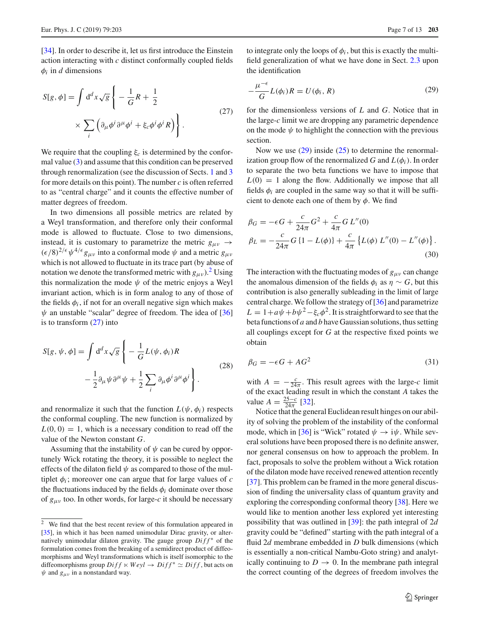[\[34](#page-12-30)]. In order to describe it, let us first introduce the Einstein action interacting with *c* distinct conformally coupled fields  $\phi_i$  in *d* dimensions

<span id="page-6-1"></span>
$$
S[g, \phi] = \int d^d x \sqrt{g} \left\{ -\frac{1}{G} R + \frac{1}{2} \times \sum_{i} \left( \partial_{\mu} \phi^i \partial^{\mu} \phi^i + \xi_c \phi^i \phi^i R \right) \right\}.
$$
\n(27)

We require that the coupling ξ*c* is determined by the conformal value [\(3\)](#page-1-1) and assume that this condition can be preserved through renormalization (see the discussion of Sects. [1](#page-0-1) and [3](#page-7-0) for more details on this point). The number *c* is often referred to as "central charge" and it counts the effective number of matter degrees of freedom.

In two dimensions all possible metrics are related by a Weyl transformation, and therefore only their conformal mode is allowed to fluctuate. Close to two dimensions, instead, it is customary to parametrize the metric  $g_{\mu\nu} \rightarrow$  $(\epsilon/8)^{2/\epsilon} \psi^{4/\epsilon} g_{\mu\nu}$  into a conformal mode  $\psi$  and a metric  $g_{\mu\nu}$ which is not allowed to fluctuate in its trace part (by abuse of notation we denote the transformed metric with  $g_{\mu\nu}$ ).<sup>[2](#page-6-0)</sup> Using this normalization the mode  $\psi$  of the metric enjoys a Weyl invariant action, which is in form analog to any of those of the fields  $\phi_i$ , if not for an overall negative sign which makes  $\psi$  an unstable "scalar" degree of freedom. The idea of [\[36\]](#page-12-31) is to transform [\(27\)](#page-6-1) into

$$
S[g, \psi, \phi] = \int d^d x \sqrt{g} \left\{ -\frac{1}{G} L(\psi, \phi_i) R - \frac{1}{2} \partial_\mu \psi \partial^\mu \psi + \frac{1}{2} \sum_i \partial_\mu \phi^i \partial^\mu \phi^i \right\}.
$$
\n(28)

and renormalize it such that the function  $L(\psi, \phi_i)$  respects the conformal coupling. The new function is normalized by  $L(0, 0) = 1$ , which is a necessary condition to read off the value of the Newton constant *G*.

Assuming that the instability of  $\psi$  can be cured by opportunely Wick rotating the theory, it is possible to neglect the effects of the dilaton field  $\psi$  as compared to those of the multiplet  $\phi_i$ ; moreover one can argue that for large values of  $c$ the fluctuations induced by the fields  $\phi_i$  dominate over those of  $g_{\mu\nu}$  too. In other words, for large-*c* it should be necessary

to integrate only the loops of  $\phi_i$ , but this is exactly the multifield generalization of what we have done in Sect. [2.3](#page-5-0) upon the identification

<span id="page-6-2"></span>
$$
-\frac{\mu^{-\epsilon}}{G}L(\phi_i)R = U(\phi_i, R)
$$
\n(29)

for the dimensionless versions of *L* and *G*. Notice that in the large-*c* limit we are dropping any parametric dependence on the mode  $\psi$  to highlight the connection with the previous section.

Now we use  $(29)$  inside  $(25)$  to determine the renormalization group flow of the renormalized *G* and  $L(\phi_i)$ . In order to separate the two beta functions we have to impose that  $L(0) = 1$  along the flow. Additionally we impose that all fields  $\phi_i$  are coupled in the same way so that it will be sufficient to denote each one of them by  $\phi$ . We find

$$
\beta_G = -\epsilon G + \frac{c}{24\pi} G^2 + \frac{c}{4\pi} G L''(0)
$$
  
\n
$$
\beta_L = -\frac{c}{24\pi} G \{1 - L(\phi)\} + \frac{c}{4\pi} \{L(\phi) L''(0) - L''(\phi)\}.
$$
  
\n(30)

The interaction with the fluctuating modes of  $g_{\mu\nu}$  can change the anomalous dimension of the fields  $\phi_i$  as  $\eta \sim G$ , but this contribution is also generally subleading in the limit of large central charge. We follow the strategy of [\[36](#page-12-31)] and parametrize  $L = 1 + a\psi + b\psi^2 - \xi_c\phi^2$ . It is straightforward to see that the beta functions of *a* and *b* have Gaussian solutions, thus setting all couplings except for *G* at the respective fixed points we obtain

$$
\beta_G = -\epsilon G + A G^2 \tag{31}
$$

with  $A = -\frac{c}{24\pi}$ . This result agrees with the large-*c* limit of the exact leading result in which the constant *A* takes the value  $A = \frac{25-c}{24\pi}$  [\[32\]](#page-12-28).

Notice that the general Euclidean result hinges on our ability of solving the problem of the instability of the conformal mode, which in [\[36\]](#page-12-31) is "Wick" rotated  $\psi \rightarrow i\psi$ . While several solutions have been proposed there is no definite answer, nor general consensus on how to approach the problem. In fact, proposals to solve the problem without a Wick rotation of the dilaton mode have received renewed attention recently [\[37](#page-12-33)]. This problem can be framed in the more general discussion of finding the universality class of quantum gravity and exploring the corresponding conformal theory [\[38](#page-12-34)]. Here we would like to mention another less explored yet interesting possibility that was outlined in [\[39\]](#page-12-35): the path integral of 2*d* gravity could be "defined" starting with the path integral of a fluid 2*d* membrane embedded in *D* bulk dimensions (which is essentially a non-critical Nambu-Goto string) and analytically continuing to  $D \to 0$ . In the membrane path integral the correct counting of the degrees of freedom involves the

<span id="page-6-0"></span> $\overline{2}$  We find that the best recent review of this formulation appeared in [\[35](#page-12-32)], in which it has been named unimodular Dirac gravity, or alternatively unimodular dilaton gravity. The gauge group  $Diff^*$  of the formulation comes from the breaking of a semidirect product of diffeomorphisms and Weyl transformations which is itself isomorphic to the diffeomorphisms group  $Diff \times Weyl \rightarrow Diff^* \simeq Diff$ , but acts on  $\psi$  and  $g_{\mu\nu}$  in a nonstandard way.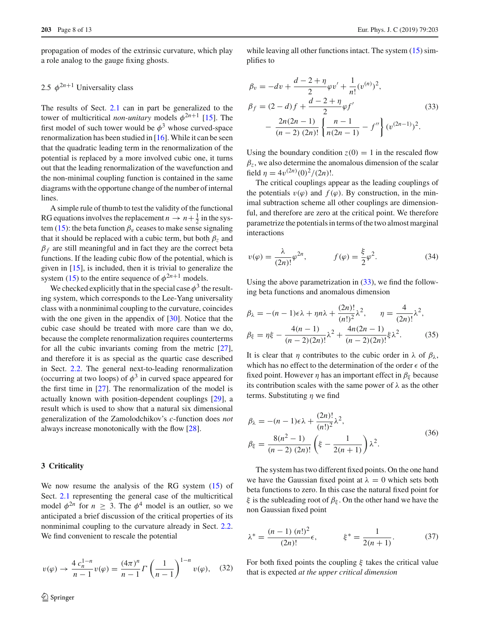propagation of modes of the extrinsic curvature, which play a role analog to the gauge fixing ghosts.

## <span id="page-7-2"></span>2.5  $\phi^{2n+1}$  Universality class

The results of Sect. [2.1](#page-3-2) can in part be generalized to the tower of multicritical *non-unitary* models  $\phi^{2n+1}$  [\[15](#page-12-11)]. The first model of such tower would be  $\phi^3$  whose curved-space renormalization has been studied in  $[16]$  $[16]$ . While it can be seen that the quadratic leading term in the renormalization of the potential is replaced by a more involved cubic one, it turns out that the leading renormalization of the wavefunction and the non-minimal coupling function is contained in the same diagrams with the opportune change of the number of internal lines.

A simple rule of thumb to test the validity of the functional RG equations involves the replacement  $n \to n + \frac{1}{2}$  in the sys-tem [\(15\)](#page-4-1): the beta function  $\beta_v$  ceases to make sense signaling that it should be replaced with a cubic term, but both  $\beta_7$  and  $\beta_f$  are still meaningful and in fact they are the correct beta functions. If the leading cubic flow of the potential, which is given in [\[15\]](#page-12-11), is included, then it is trivial to generalize the system [\(15\)](#page-4-1) to the entire sequence of  $\phi^{2n+1}$  models.

We checked explicitly that in the special case  $\phi^3$  the resulting system, which corresponds to the Lee-Yang universality class with a nonminimal coupling to the curvature, coincides with the one given in the appendix of  $[30]$  $[30]$ . Notice that the cubic case should be treated with more care than we do, because the complete renormalization requires counterterms for all the cubic invariants coming from the metric [\[27](#page-12-21)], and therefore it is as special as the quartic case described in Sect. [2.2.](#page-4-2) The general next-to-leading renormalization (occurring at two loops) of  $\phi^3$  in curved space appeared for the first time in [\[27\]](#page-12-21). The renormalization of the model is actually known with position-dependent couplings [\[29](#page-12-23)], a result which is used to show that a natural six dimensional generalization of the Zamolodchikov's *c*-function does *not* always increase monotonically with the flow [\[28](#page-12-22)].

#### <span id="page-7-0"></span>**3 Criticality**

We now resume the analysis of the RG system [\(15\)](#page-4-1) of Sect. [2.1](#page-3-2) representing the general case of the multicritical model  $\phi^{2n}$  for  $n \geq 3$ . The  $\phi^4$  model is an outlier, so we anticipated a brief discussion of the critical properties of its nonminimal coupling to the curvature already in Sect. [2.2.](#page-4-2) We find convenient to rescale the potential

$$
v(\varphi) \to \frac{4 c_n^{1-n}}{n-1} v(\varphi) = \frac{(4\pi)^n}{n-1} \Gamma\left(\frac{1}{n-1}\right)^{1-n} v(\varphi), \quad (32)
$$

<span id="page-7-1"></span>while leaving all other functions intact. The system  $(15)$  simplifies to

$$
\beta_v = -dv + \frac{d-2+\eta}{2}\varphi v' + \frac{1}{n!}(v^{(n)})^2,
$$
  
\n
$$
\beta_f = (2-d)f + \frac{d-2+\eta}{2}\varphi f'
$$
(33)  
\n
$$
-\frac{2n(2n-1)}{(n-2)(2n)!}\left\{\frac{n-1}{n(2n-1)} - f''\right\}(v^{(2n-1)})^2.
$$

Using the boundary condition  $z(0) = 1$  in the rescaled flow  $\beta$ <sub>z</sub>, we also determine the anomalous dimension of the scalar field  $\eta = 4v^{(2n)}(0)^2/(2n)!$ .

The critical couplings appear as the leading couplings of the potentials  $v(\varphi)$  and  $f(\varphi)$ . By construction, in the minimal subtraction scheme all other couplings are dimensionful, and therefore are zero at the critical point. We therefore parametrize the potentials in terms of the two almost marginal interactions

$$
v(\varphi) = \frac{\lambda}{(2n)!} \varphi^{2n}, \qquad f(\varphi) = \frac{\xi}{2} \varphi^2.
$$
 (34)

Using the above parametrization in  $(33)$ , we find the following beta functions and anomalous dimension

$$
\beta_{\lambda} = -(n-1)\epsilon \lambda + \eta n \lambda + \frac{(2n)!}{(n!)^2} \lambda^2, \qquad \eta = \frac{4}{(2n)!} \lambda^2,
$$
  

$$
\beta_{\xi} = n\xi - \frac{4(n-1)}{(n-2)(2n)!} \lambda^2 + \frac{4n(2n-1)}{(n-2)(2n)!} \xi \lambda^2.
$$
(35)

It is clear that  $\eta$  contributes to the cubic order in  $\lambda$  of  $\beta_{\lambda}$ , which has no effect to the determination of the order  $\epsilon$  of the fixed point. However  $\eta$  has an important effect in  $\beta_{\xi}$  because its contribution scales with the same power of  $\lambda$  as the other terms. Substituting  $\eta$  we find

<span id="page-7-4"></span>
$$
\beta_{\lambda} = -(n-1)\epsilon \lambda + \frac{(2n)!}{(n!)^2} \lambda^2,
$$
  
\n
$$
\beta_{\xi} = \frac{8(n^2 - 1)}{(n-2)(2n)!} \left(\xi - \frac{1}{2(n+1)}\right) \lambda^2.
$$
\n(36)

The system has two different fixed points. On the one hand we have the Gaussian fixed point at  $\lambda = 0$  which sets both beta functions to zero. In this case the natural fixed point for ξ is the subleading root of  $β_ξ$ . On the other hand we have the non Gaussian fixed point

<span id="page-7-5"></span>
$$
\lambda^* = \frac{(n-1)(n!)^2}{(2n)!} \epsilon, \qquad \xi^* = \frac{1}{2(n+1)}.
$$
 (37)

<span id="page-7-3"></span>For both fixed points the coupling  $\xi$  takes the critical value that is expected *at the upper critical dimension*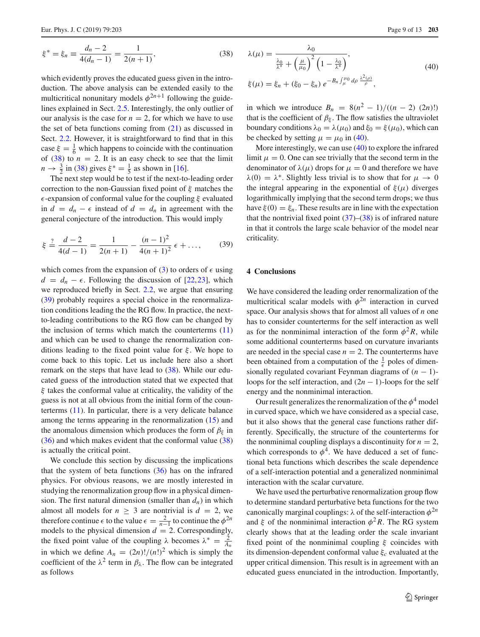$$
\xi^* = \xi_n \equiv \frac{d_n - 2}{4(d_n - 1)} = \frac{1}{2(n+1)},
$$
\n(38)

which evidently proves the educated guess given in the introduction. The above analysis can be extended easily to the multicritical nonunitary models  $\phi^{2n+1}$  following the guidelines explained in Sect. [2.5.](#page-7-2) Interestingly, the only outlier of our analysis is the case for  $n = 2$ , for which we have to use the set of beta functions coming from  $(21)$  as discussed in Sect. [2.2.](#page-4-2) However, it is straightforward to find that in this case  $\xi = \frac{1}{6}$  which happens to coincide with the continuation of  $(38)$  to  $n = 2$ . It is an easy check to see that the limit  $n \to \frac{3}{2}$  in [\(38\)](#page-7-3) gives  $\xi^* = \frac{1}{5}$  as shown in [\[16\]](#page-12-36).

The next step would be to test if the next-to-leading order correction to the non-Gaussian fixed point of  $\xi$  matches the  $\epsilon$ -expansion of conformal value for the coupling  $\xi$  evaluated in  $d = d_n - \epsilon$  instead of  $d = d_n$  in agreement with the general conjecture of the introduction. This would imply

$$
\xi \stackrel{?}{=} \frac{d-2}{4(d-1)} = \frac{1}{2(n+1)} - \frac{(n-1)^2}{4(n+1)^2} \epsilon + \dots,
$$
 (39)

which comes from the expansion of [\(3\)](#page-1-1) to orders of  $\epsilon$  using  $d = d_n - \epsilon$ . Following the discussion of [\[22](#page-12-16)[,23](#page-12-17)], which we reproduced briefly in Sect. [2.2,](#page-4-2) we argue that ensuring [\(39\)](#page-8-1) probably requires a special choice in the renormalization conditions leading the the RG flow. In practice, the nextto-leading contributions to the RG flow can be changed by the inclusion of terms which match the counterterms  $(11)$ and which can be used to change the renormalization conditions leading to the fixed point value for  $\xi$ . We hope to come back to this topic. Let us include here also a short remark on the steps that have lead to [\(38\)](#page-7-3). While our educated guess of the introduction stated that we expected that  $\xi$  takes the conformal value at criticality, the validity of the guess is not at all obvious from the initial form of the counterterms [\(11\)](#page-3-1). In particular, there is a very delicate balance among the terms appearing in the renormalization [\(15\)](#page-4-1) and the anomalous dimension which produces the form of  $\beta_{\xi}$  in [\(36\)](#page-7-4) and which makes evident that the conformal value [\(38\)](#page-7-3) is actually the critical point.

<span id="page-8-2"></span>We conclude this section by discussing the implications that the system of beta functions  $(36)$  has on the infrared physics. For obvious reasons, we are mostly interested in studying the renormalization group flow in a physical dimension. The first natural dimension (smaller than  $d_n$ ) in which almost all models for  $n \geq 3$  are nontrivial is  $d = 2$ , we therefore continue  $\epsilon$  to the value  $\epsilon = \frac{2}{n-1}$  to continue the  $\phi^{2n}$ models to the physical dimension  $d = 2$ . Correspondingly, the fixed point value of the coupling  $\lambda$  becomes  $\lambda^* = \frac{2}{A_n}$ in which we define  $A_n = (2n)!/(n!)^2$  which is simply the coefficient of the  $\lambda^2$  term in  $\beta_{\lambda}$ . The flow can be integrated as follows

$$
\lambda(\mu) = \frac{\lambda_0}{\frac{\lambda_0}{\lambda^*} + \left(\frac{\mu}{\mu_0}\right)^2 \left(1 - \frac{\lambda_0}{\lambda^*}\right)},
$$
\n
$$
\xi(\mu) = \xi_n + (\xi_0 - \xi_n) e^{-B_n \int_{\mu_0}^{\mu_0} d\rho \frac{\lambda^2(\rho)}{\rho}},
$$
\n(40)

in which we introduce  $B_n = 8(n^2 - 1)/((n - 2) (2n)!)$ that is the coefficient of  $\beta_{\xi}$ . The flow satisfies the ultraviolet boundary conditions  $\lambda_0 = \lambda(\mu_0)$  and  $\xi_0 = \xi(\mu_0)$ , which can be checked by setting  $\mu = \mu_0$  in [\(40\)](#page-8-2).

More interestingly, we can use [\(40\)](#page-8-2) to explore the infrared limit  $\mu = 0$ . One can see trivially that the second term in the denominator of  $\lambda(\mu)$  drops for  $\mu = 0$  and therefore we have  $\lambda(0) = \lambda^*$ . Slightly less trivial is to show that for  $\mu \to 0$ the integral appearing in the exponential of  $\xi(\mu)$  diverges logarithmically implying that the second term drops; we thus have  $\xi(0) = \xi_n$ . These results are in line with the expectation that the nontrivial fixed point  $(37)$ – $(38)$  is of infrared nature in that it controls the large scale behavior of the model near criticality.

#### <span id="page-8-1"></span><span id="page-8-0"></span>**4 Conclusions**

We have considered the leading order renormalization of the multicritical scalar models with  $\phi^{2n}$  interaction in curved space. Our analysis shows that for almost all values of *n* one has to consider counterterms for the self interaction as well as for the nonminimal interaction of the form  $\phi^2 R$ , while some additional counterterms based on curvature invariants are needed in the special case  $n = 2$ . The counterterms have been obtained from a computation of the  $\frac{1}{\epsilon}$  poles of dimensionally regulated covariant Feynman diagrams of (*n* − 1) loops for the self interaction, and (2*n* − 1)-loops for the self energy and the nonminimal interaction.

Our result generalizes the renormalization of the  $\phi^4$  model in curved space, which we have considered as a special case, but it also shows that the general case functions rather differently. Specifically, the structure of the counterterms for the nonminimal coupling displays a discontinuity for  $n = 2$ , which corresponds to  $\phi^4$ . We have deduced a set of functional beta functions which describes the scale dependence of a self-interaction potential and a generalized nonminimal interaction with the scalar curvature.

We have used the perturbative renormalization group flow to determine standard perturbative beta functions for the two canonically marginal couplings:  $\lambda$  of the self-interaction  $\phi^{2n}$ and  $\xi$  of the nonminimal interaction  $\phi^2 R$ . The RG system clearly shows that at the leading order the scale invariant fixed point of the nonminimal coupling  $\xi$  coincides with its dimension-dependent conformal value ξ*c* evaluated at the upper critical dimension. This result is in agreement with an educated guess enunciated in the introduction. Importantly,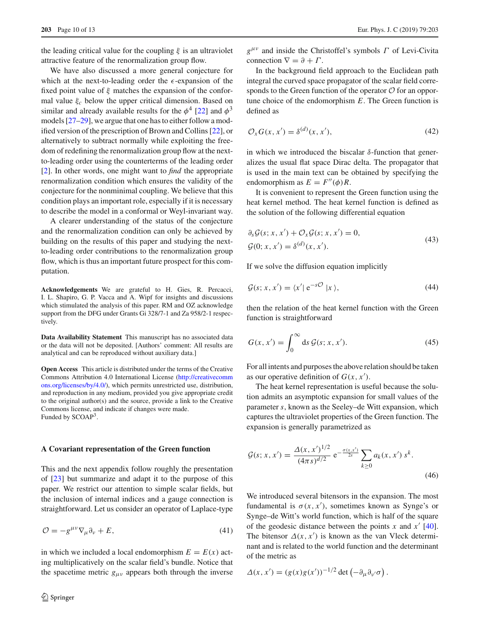the leading critical value for the coupling  $\xi$  is an ultraviolet attractive feature of the renormalization group flow.

We have also discussed a more general conjecture for which at the next-to-leading order the  $\epsilon$ -expansion of the fixed point value of  $\xi$  matches the expansion of the conformal value ξ*c* below the upper critical dimension. Based on similar and already available results for the  $\phi^4$  [\[22](#page-12-16)] and  $\phi^3$ models [\[27](#page-12-21)[–29\]](#page-12-23), we argue that one has to either follow a modified version of the prescription of Brown and Collins [\[22](#page-12-16)], or alternatively to subtract normally while exploiting the freedom of redefining the renormalization group flow at the nextto-leading order using the counterterms of the leading order [\[2](#page-12-10)]. In other words, one might want to *find* the appropriate renormalization condition which ensures the validity of the conjecture for the nonminimal coupling. We believe that this condition plays an important role, especially if it is necessary to describe the model in a conformal or Weyl-invariant way.

A clearer understanding of the status of the conjecture and the renormalization condition can only be achieved by building on the results of this paper and studying the nextto-leading order contributions to the renormalization group flow, which is thus an important future prospect for this computation.

**Acknowledgements** We are grateful to H. Gies, R. Percacci, I. L. Shapiro, G. P. Vacca and A. Wipf for insights and discussions which stimulated the analysis of this paper. RM and OZ acknowledge support from the DFG under Grants Gi 328/7-1 and Za 958/2-1 respectively.

**Data Availability Statement** This manuscript has no associated data or the data will not be deposited. [Authors' comment: All results are analytical and can be reproduced without auxiliary data.]

**Open Access** This article is distributed under the terms of the Creative Commons Attribution 4.0 International License [\(http://creativecomm](http://creativecommons.org/licenses/by/4.0/) [ons.org/licenses/by/4.0/\)](http://creativecommons.org/licenses/by/4.0/), which permits unrestricted use, distribution, and reproduction in any medium, provided you give appropriate credit to the original author(s) and the source, provide a link to the Creative Commons license, and indicate if changes were made. Funded by SCOAP<sup>3</sup>.

#### **A Covariant representation of the Green function**

This and the next appendix follow roughly the presentation of [\[23](#page-12-17)] but summarize and adapt it to the purpose of this paper. We restrict our attention to simple scalar fields, but the inclusion of internal indices and a gauge connection is straightforward. Let us consider an operator of Laplace-type

$$
\mathcal{O} = -g^{\mu\nu}\nabla_{\mu}\partial_{\nu} + E,\tag{41}
$$

in which we included a local endomorphism  $E = E(x)$  acting multiplicatively on the scalar field's bundle. Notice that the spacetime metric  $g_{\mu\nu}$  appears both through the inverse *g*μν and inside the Christoffel's symbols Γ of Levi-Civita connection  $\nabla = \partial + \Gamma$ .

In the background field approach to the Euclidean path integral the curved space propagator of the scalar field corresponds to the Green function of the operator *O* for an opportune choice of the endomorphism *E*. The Green function is defined as

$$
\mathcal{O}_X G(x, x') = \delta^{(d)}(x, x'),\tag{42}
$$

in which we introduced the biscalar  $\delta$ -function that generalizes the usual flat space Dirac delta. The propagator that is used in the main text can be obtained by specifying the endomorphism as  $E = F''(\phi)R$ .

It is convenient to represent the Green function using the heat kernel method. The heat kernel function is defined as the solution of the following differential equation

$$
\partial_s \mathcal{G}(s; x, x') + \mathcal{O}_x \mathcal{G}(s; x, x') = 0,
$$
  

$$
\mathcal{G}(0; x, x') = \delta^{(d)}(x, x').
$$
 (43)

If we solve the diffusion equation implicitly

$$
\mathcal{G}(s; x, x') = \langle x' | e^{-s\mathcal{O}} | x \rangle, \tag{44}
$$

then the relation of the heat kernel function with the Green function is straightforward

<span id="page-9-2"></span>
$$
G(x, x') = \int_0^\infty ds \, \mathcal{G}(s; x, x'). \tag{45}
$$

For all intents and purposes the above relation should be taken as our operative definition of  $G(x, x')$ .

The heat kernel representation is useful because the solution admits an asymptotic expansion for small values of the parameter *s*, known as the Seeley–de Witt expansion, which captures the ultraviolet properties of the Green function. The expansion is generally parametrized as

<span id="page-9-1"></span>
$$
\mathcal{G}(s; x, x') = \frac{\Delta(x, x')^{1/2}}{(4\pi s)^{d/2}} e^{-\frac{\sigma(x, x')}{2s}} \sum_{k \ge 0} a_k(x, x') s^k.
$$
\n(46)

<span id="page-9-0"></span>We introduced several bitensors in the expansion. The most fundamental is  $\sigma(x, x')$ , sometimes known as Synge's or Synge–de Witt's world function, which is half of the square of the geodesic distance between the points  $x$  and  $x'$  [\[40](#page-12-37)]. The bitensor  $\Delta(x, x')$  is known as the van Vleck determinant and is related to the world function and the determinant of the metric as

$$
\Delta(x, x') = (g(x)g(x'))^{-1/2} \det \left(-\partial_{\mu} \partial_{\nu'} \sigma\right).
$$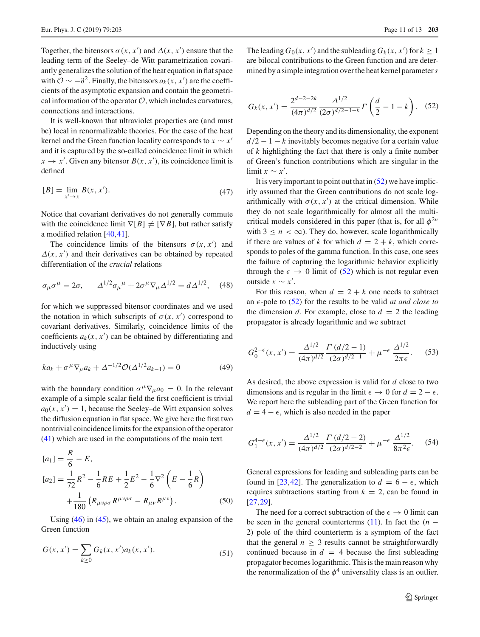Together, the bitensors  $\sigma(x, x')$  and  $\Delta(x, x')$  ensure that the leading term of the Seeley–de Witt parametrization covariantly generalizes the solution of the heat equation in flat space with  $\mathcal{O} \sim -\partial^2$ . Finally, the bitensors  $a_k(x, x')$  are the coefficients of the asymptotic expansion and contain the geometrical information of the operator  $O$ , which includes curvatures, connections and interactions.

It is well-known that ultraviolet properties are (and must be) local in renormalizable theories. For the case of the heat kernel and the Green function locality corresponds to  $x \sim x'$ and it is captured by the so-called coincidence limit in which  $x \to x'$ . Given any bitensor  $B(x, x')$ , its coincidence limit is defined

$$
[B] = \lim_{x' \to x} B(x, x'). \tag{47}
$$

Notice that covariant derivatives do not generally commute with the coincidence limit  $\nabla[B] \neq [\nabla B]$ , but rather satisfy a modified relation [\[40](#page-12-37)[,41](#page-12-38)].

The coincidence limits of the bitensors  $\sigma(x, x')$  and  $\Delta(x, x')$  and their derivatives can be obtained by repeated differentiation of the *crucial* relations

$$
\sigma_{\mu}\sigma^{\mu} = 2\sigma, \qquad \Delta^{1/2}\sigma_{\mu}{}^{\mu} + 2\sigma^{\mu}\nabla_{\mu}\Delta^{1/2} = d\Delta^{1/2},
$$
\n(48)

for which we suppressed bitensor coordinates and we used the notation in which subscripts of  $\sigma(x, x')$  correspond to covariant derivatives. Similarly, coincidence limits of the coefficients  $a_k(x, x')$  can be obtained by differentiating and inductively using

$$
ka_k + \sigma^{\mu} \nabla_{\mu} a_k + \Delta^{-1/2} \mathcal{O}(\Delta^{1/2} a_{k-1}) = 0
$$
 (49)

with the boundary condition  $\sigma^{\mu} \nabla_{\mu} a_0 = 0$ . In the relevant example of a simple scalar field the first coefficient is trivial  $a_0(x, x') = 1$ , because the Seeley–de Witt expansion solves the diffusion equation in flat space. We give here the first two nontrivial coincidence limits for the expansion of the operator [\(41\)](#page-9-0) which are used in the computations of the main text

<span id="page-10-1"></span>
$$
[a_1] = \frac{R}{6} - E,
$$
  
\n
$$
[a_2] = \frac{1}{72}R^2 - \frac{1}{6}RE + \frac{1}{2}E^2 - \frac{1}{6}\nabla^2 \left(E - \frac{1}{6}R\right)
$$
  
\n
$$
+ \frac{1}{180} \left(R_{\mu\nu\rho\sigma}R^{\mu\nu\rho\sigma} - R_{\mu\nu}R^{\mu\nu}\right).
$$
 (50)

<span id="page-10-4"></span>Using [\(46\)](#page-9-1) in [\(45\)](#page-9-2), we obtain an analog expansion of the Green function

$$
G(x, x') = \sum_{k \ge 0} G_k(x, x') a_k(x, x').
$$
 (51)

The leading  $G_0(x, x')$  and the subleading  $G_k(x, x')$  for  $k \ge 1$ are bilocal contributions to the Green function and are determined by a simple integration over the heat kernel parameter*s*

<span id="page-10-2"></span>
$$
G_k(x, x') = \frac{2^{d-2-2k}}{(4\pi)^{d/2}} \frac{\Delta^{1/2}}{(2\sigma)^{d/2-1-k}} \Gamma\left(\frac{d}{2} - 1 - k\right). \tag{52}
$$

Depending on the theory and its dimensionality, the exponent  $d/2 - 1 - k$  inevitably becomes negative for a certain value of *k* highlighting the fact that there is only a finite number of Green's function contributions which are singular in the limit  $x \sim x'$ .

It is very important to point out that in  $(52)$  we have implicitly assumed that the Green contributions do not scale logarithmically with  $\sigma(x, x')$  at the critical dimension. While they do not scale logarithmically for almost all the multicritical models considered in this paper (that is, for all  $\phi^{2n}$ with  $3 \le n < \infty$ ). They do, however, scale logarithmically if there are values of *k* for which  $d = 2 + k$ , which corresponds to poles of the gamma function. In this case, one sees the failure of capturing the logarithmic behavior explicitly through the  $\epsilon \to 0$  limit of [\(52\)](#page-10-2) which is not regular even outside  $x \sim x'$ .

<span id="page-10-3"></span>For this reason, when  $d = 2 + k$  one needs to subtract an  $\epsilon$ -pole to [\(52\)](#page-10-2) for the results to be valid *at and close to* the dimension *d*. For example, close to  $d = 2$  the leading propagator is already logarithmic and we subtract

$$
G_0^{2-\epsilon}(x, x') = \frac{\Delta^{1/2}}{(4\pi)^{d/2}} \frac{\Gamma(d/2 - 1)}{(2\sigma)^{d/2 - 1}} + \mu^{-\epsilon} \frac{\Delta^{1/2}}{2\pi\epsilon}.
$$
 (53)

As desired, the above expression is valid for *d* close to two dimensions and is regular in the limit  $\epsilon \to 0$  for  $d = 2 - \epsilon$ . We report here the subleading part of the Green function for  $d = 4 - \epsilon$ , which is also needed in the paper

<span id="page-10-0"></span>
$$
G_1^{4-\epsilon}(x, x') = \frac{\Delta^{1/2}}{(4\pi)^{d/2}} \frac{\Gamma(d/2 - 2)}{(2\sigma)^{d/2 - 2}} + \mu^{-\epsilon} \frac{\Delta^{1/2}}{8\pi^2 \epsilon}.
$$
 (54)

General expressions for leading and subleading parts can be found in [\[23](#page-12-17)[,42](#page-12-39)]. The generalization to  $d = 6 - \epsilon$ , which requires subtractions starting from  $k = 2$ , can be found in [\[27](#page-12-21),[29\]](#page-12-23).

The need for a correct subtraction of the  $\epsilon \to 0$  limit can be seen in the general counterterms  $(11)$ . In fact the  $(n -$ 2) pole of the third counterterm is a symptom of the fact that the general  $n \geq 3$  results cannot be straightforwardly continued because in  $d = 4$  because the first subleading propagator becomes logarithmic. This is the main reason why the renormalization of the  $\phi^4$  universality class is an outlier.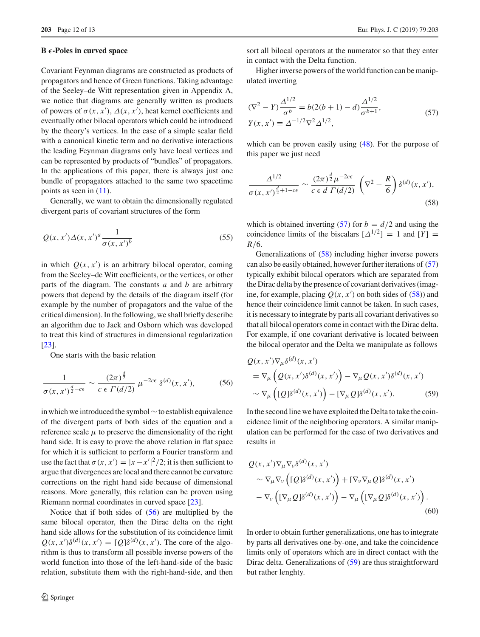#### **B** *-***-Poles in curved space**

Covariant Feynman diagrams are constructed as products of propagators and hence of Green functions. Taking advantage of the Seeley–de Witt representation given in Appendix A, we notice that diagrams are generally written as products of powers of  $\sigma(x, x')$ ,  $\Delta(x, x')$ , heat kernel coefficients and eventually other bilocal operators which could be introduced by the theory's vertices. In the case of a simple scalar field with a canonical kinetic term and no derivative interactions the leading Feynman diagrams only have local vertices and can be represented by products of "bundles" of propagators. In the applications of this paper, there is always just one bundle of propagators attached to the same two spacetime points as seen in [\(11\)](#page-3-1).

Generally, we want to obtain the dimensionally regulated divergent parts of covariant structures of the form

$$
Q(x, x')\Delta(x, x')^a \frac{1}{\sigma(x, x')^b} \tag{55}
$$

in which  $Q(x, x')$  is an arbitrary bilocal operator, coming from the Seeley–de Witt coefficients, or the vertices, or other parts of the diagram. The constants *a* and *b* are arbitrary powers that depend by the details of the diagram itself (for example by the number of propagators and the value of the critical dimension). In the following, we shall briefly describe an algorithm due to Jack and Osborn which was developed to treat this kind of structures in dimensional regularization [\[23](#page-12-17)].

One starts with the basic relation

$$
\frac{1}{\sigma(x, x')^{\frac{d}{2} - c\epsilon}} \sim \frac{(2\pi)^{\frac{d}{2}}}{c \epsilon \Gamma(d/2)} \mu^{-2c\epsilon} \delta^{(d)}(x, x'), \tag{56}
$$

in which we introduced the symbol∼to establish equivalence of the divergent parts of both sides of the equation and a reference scale  $\mu$  to preserve the dimensionality of the right hand side. It is easy to prove the above relation in flat space for which it is sufficient to perform a Fourier transform and use the fact that  $\sigma(x, x') = |x - x'|^2/2$ ; it is then sufficient to argue that divergences are local and there cannot be curvature corrections on the right hand side because of dimensional reasons. More generally, this relation can be proven using Riemann normal coordinates in curved space [\[23](#page-12-17)].

Notice that if both sides of [\(56\)](#page-11-0) are multiplied by the same bilocal operator, then the Dirac delta on the right hand side allows for the substitution of its coincidence limit  $Q(x, x')\delta^{(d)}(x, x') = [Q]\delta^{(d)}(x, x')$ . The core of the algorithm is thus to transform all possible inverse powers of the world function into those of the left-hand-side of the basic relation, substitute them with the right-hand-side, and then

sort all bilocal operators at the numerator so that they enter in contact with the Delta function.

<span id="page-11-1"></span>Higher inverse powers of the world function can be manipulated inverting

$$
(\nabla^2 - Y) \frac{\Delta^{1/2}}{\sigma^b} = b(2(b+1) - d) \frac{\Delta^{1/2}}{\sigma^{b+1}},
$$
  
\n
$$
Y(x, x') \equiv \Delta^{-1/2} \nabla^2 \Delta^{1/2},
$$
\n(57)

<span id="page-11-2"></span>which can be proven easily using  $(48)$ . For the purpose of this paper we just need

$$
\frac{\Delta^{1/2}}{\sigma(x, x')^{\frac{d}{2}+1-c\epsilon}} \sim \frac{(2\pi)^{\frac{d}{2}}\mu^{-2c\epsilon}}{c \epsilon d \Gamma(d/2)} \left(\nabla^2 - \frac{R}{6}\right) \delta^{(d)}(x, x'),\tag{58}
$$

<span id="page-11-4"></span>which is obtained inverting [\(57\)](#page-11-1) for  $b = d/2$  and using the coincidence limits of the biscalars  $[\Delta^{1/2}] = 1$  and  $[\overline{Y}] =$ *R*/6.

Generalizations of [\(58\)](#page-11-2) including higher inverse powers can also be easily obtained, however further iterations of [\(57\)](#page-11-1) typically exhibit bilocal operators which are separated from the Dirac delta by the presence of covariant derivatives (imagine, for example, placing  $Q(x, x')$  on both sides of [\(58\)](#page-11-2)) and hence their coincidence limit cannot be taken. In such cases, it is necessary to integrate by parts all covariant derivatives so that all bilocal operators come in contact with the Dirac delta. For example, if one covariant derivative is located between the bilocal operator and the Delta we manipulate as follows

<span id="page-11-3"></span><span id="page-11-0"></span>
$$
Q(x, x')\nabla_{\mu}\delta^{(d)}(x, x')
$$
  
=  $\nabla_{\mu}\left(Q(x, x')\delta^{(d)}(x, x')\right) - \nabla_{\mu}Q(x, x')\delta^{(d)}(x, x')$   
 $\sim \nabla_{\mu}\left([Q]\delta^{(d)}(x, x')\right) - [\nabla_{\mu}Q]\delta^{(d)}(x, x').$  (59)

In the second line we have exploited the Delta to take the coincidence limit of the neighboring operators. A similar manipulation can be performed for the case of two derivatives and results in

$$
Q(x, x')\nabla_{\mu}\nabla_{\nu}\delta^{(d)}(x, x')\n\n\sim \nabla_{\mu}\nabla_{\nu}\left( [Q]\delta^{(d)}(x, x')\right) + [\nabla_{\nu}\nabla_{\mu}Q]\delta^{(d)}(x, x')\n\n-\nabla_{\nu}\left( [\nabla_{\mu}Q]\delta^{(d)}(x, x')\right) - \nabla_{\mu}\left( [\nabla_{\mu}Q]\delta^{(d)}(x, x')\right). \tag{60}
$$

In order to obtain further generalizations, one has to integrate by parts all derivatives one-by-one, and take the coincidence limits only of operators which are in direct contact with the Dirac delta. Generalizations of [\(59\)](#page-11-3) are thus straightforward but rather lenghty.